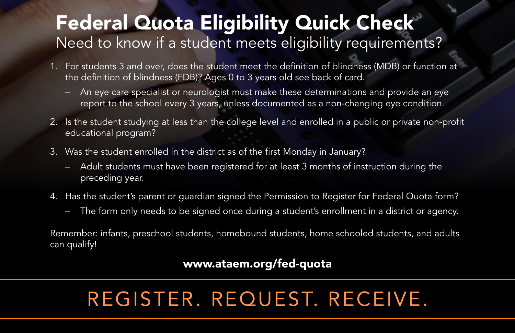### Federal Quota Eligibility Quick Check Need to know if a student meets eligibility requirements?

- 1. For students 3 and over, does the student meet the definition of blindness (MDB) or function at the definition of blindness (FDB)? Ages 0 to 3 years old see back of card.
	- An eye care specialist or neurologist must make these determinations and provide an eye report to the school every 3 years, unless documented as a non-changing eye condition.
- 2. Is the student studying at less than the college level and enrolled in a public or private non-profit educational program?
- 3. Was the student enrolled in the district as of the first Monday in January?
	- Adult students must have been registered for at least 3 months of instruction during the preceding year.
- 4. Has the student's parent or guardian signed the Permission to Register for Federal Quota form?
	- The form only needs to be signed once during a student's enrollment in a district or agency.

Remember: infants, preschool students, homebound students, home schooled students, and adults can qualify!

#### www.ataem.org/fed-quota

## REGISTER. REQUEST. RECEIVE.